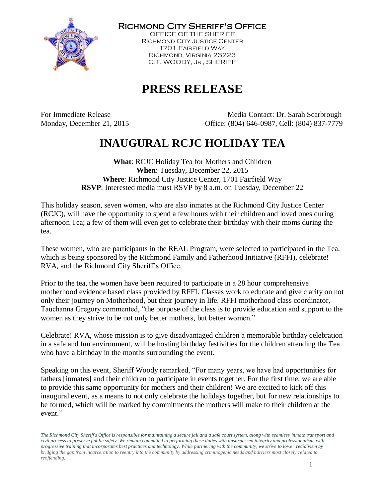

Richmond City Sheriff's Office

OFFICE OF THE SHERIFF Richmond City Justice Center 1701 Fairfield Way Richmond, Virginia 23223 C.T. WOODY, JR., SHERIFF

# **PRESS RELEASE**

For Immediate Release Media Contact: Dr. Sarah Scarbrough Monday, December 21, 2015 Office: (804) 646-0987, Cell: (804) 837-7779

# **INAUGURAL RCJC HOLIDAY TEA**

**What**: RCJC Holiday Tea for Mothers and Children **When**: Tuesday, December 22, 2015 **Where**: Richmond City Justice Center, 1701 Fairfield Way **RSVP**: Interested media must RSVP by 8 a.m. on Tuesday, December 22

This holiday season, seven women, who are also inmates at the Richmond City Justice Center (RCJC), will have the opportunity to spend a few hours with their children and loved ones during afternoon Tea; a few of them will even get to celebrate their birthday with their moms during the tea.

These women, who are participants in the REAL Program, were selected to participated in the Tea, which is being sponsored by the Richmond Family and Fatherhood Initiative (RFFI), celebrate! RVA, and the Richmond City Sheriff's Office.

Prior to the tea, the women have been required to participate in a 28 hour comprehensive motherhood evidence based class provided by RFFI. Classes work to educate and give clarity on not only their journey on Motherhood, but their journey in life. RFFI motherhood class coordinator, Tauchanna Gregory commented, "the purpose of the class is to provide education and support to the women as they strive to be not only better mothers, but better women."

Celebrate! RVA, whose mission is to give disadvantaged children a memorable birthday celebration in a safe and fun environment, will be hosting birthday festivities for the children attending the Tea who have a birthday in the months surrounding the event.

Speaking on this event, Sheriff Woody remarked, "For many years, we have had opportunities for fathers [inmates] and their children to participate in events together. For the first time, we are able to provide this same opportunity for mothers and their children! We are excited to kick off this inaugural event, as a means to not only celebrate the holidays together, but for new relationships to be formed, which will be marked by commitments the mothers will make to their children at the event."

*The Richmond City Sheriff's Office is responsible for maintaining a secure jail and a safe court system, along with seamless inmate transport and civil process to preserve public safety. We remain committed to performing these duties with unsurpassed integrity and professionalism, with progressive training that incorporates best practices and technology. While partnering with the community, we strive to lower recidivism by bridging the gap from incarceration to reentry into the community by addressing criminogenic needs and barriers most closely related to reoffending.*